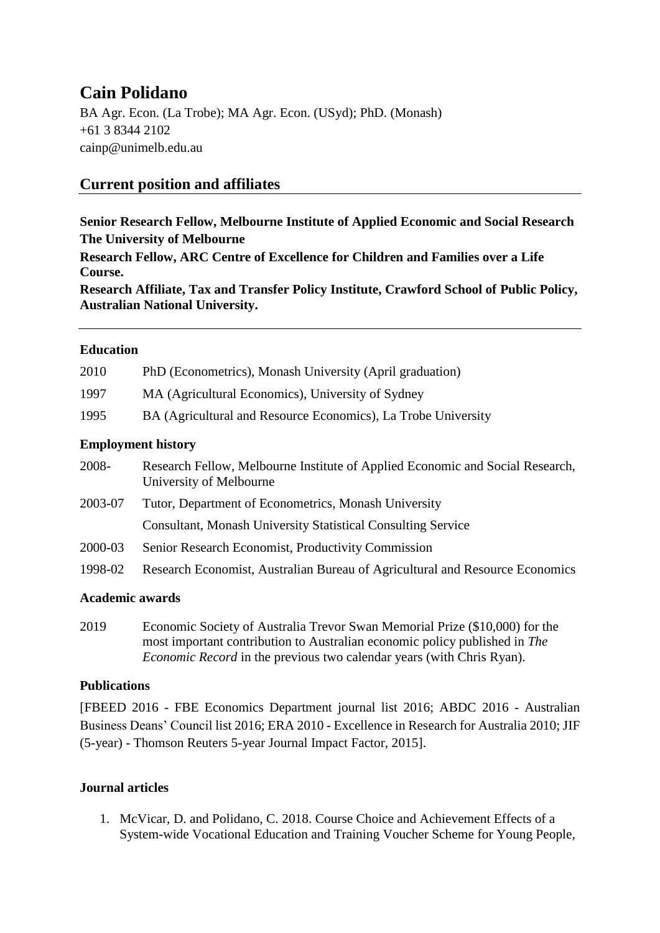# **Cain Polidano**

BA Agr. Econ. (La Trobe); MA Agr. Econ. (USyd); PhD. (Monash) +61 3 8344 2102 cainp@unimelb.edu.au

## **Current position and affiliates**

## **Senior Research Fellow, Melbourne Institute of Applied Economic and Social Research The University of Melbourne**

**Research Fellow, ARC Centre of Excellence for Children and Families over a Life Course.**

**Research Affiliate, Tax and Transfer Policy Institute, Crawford School of Public Policy, Australian National University.**

#### **Education**

| 2010    | PhD (Econometrics), Monash University (April graduation)                                                 |
|---------|----------------------------------------------------------------------------------------------------------|
| 1997    | MA (Agricultural Economics), University of Sydney                                                        |
| 1995    | BA (Agricultural and Resource Economics), La Trobe University                                            |
|         | <b>Employment history</b>                                                                                |
| 2008-   | Research Fellow, Melbourne Institute of Applied Economic and Social Research,<br>University of Melbourne |
| 2003-07 | Tutor, Department of Econometrics, Monash University                                                     |
|         | <b>Consultant, Monash University Statistical Consulting Service</b>                                      |
| 2000-03 | Senior Research Economist, Productivity Commission                                                       |
| 1998-02 | Research Economist, Australian Bureau of Agricultural and Resource Economics                             |
|         |                                                                                                          |

## **Academic awards**

2019 Economic Society of Australia Trevor Swan Memorial Prize (\$10,000) for the most important contribution to Australian economic policy published in *The Economic Record* in the previous two calendar years (with Chris Ryan).

## **Publications**

[FBEED 2016 - FBE Economics Department journal list 2016; ABDC 2016 - Australian Business Deans' Council list 2016; ERA 2010 - Excellence in Research for Australia 2010; JIF (5-year) - Thomson Reuters 5-year Journal Impact Factor, 2015].

## **Journal articles**

1. McVicar, D. and Polidano, C. 2018. Course Choice and Achievement Effects of a System-wide Vocational Education and Training Voucher Scheme for Young People,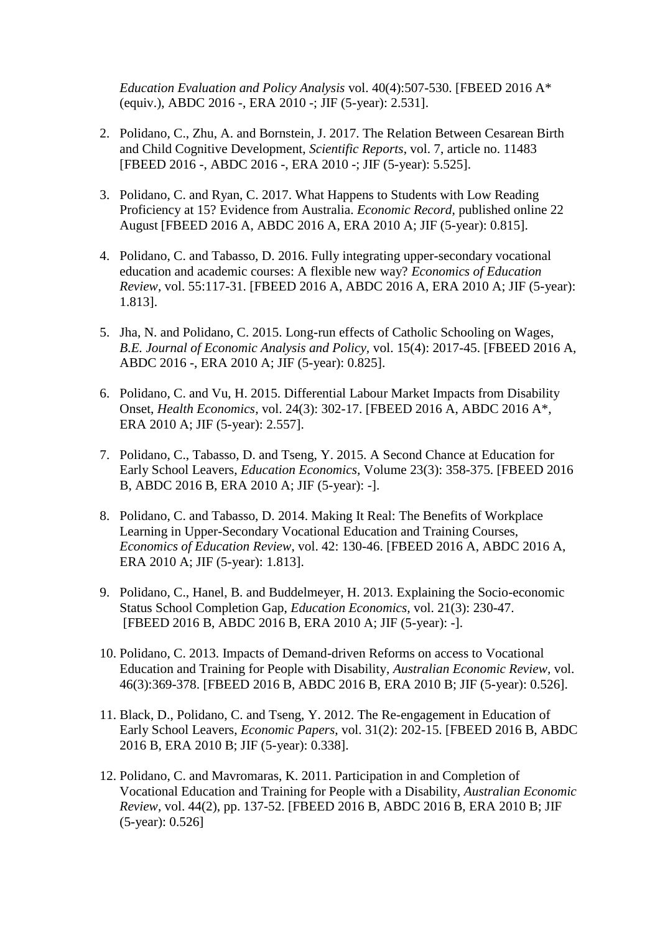*Education Evaluation and Policy Analysis* vol. 40(4):507-530. [FBEED 2016 A\* (equiv.), ABDC 2016 -, ERA 2010 -; JIF (5-year): 2.531].

- 2. Polidano, C., Zhu, A. and Bornstein, J. 2017. The Relation Between Cesarean Birth and Child Cognitive Development, *Scientific Reports*, vol. 7, article no. 11483 [FBEED 2016 -, ABDC 2016 -, ERA 2010 -; JIF (5-year): 5.525].
- 3. Polidano, C. and Ryan, C. 2017. What Happens to Students with Low Reading Proficiency at 15? Evidence from Australia. *Economic Record*, published online 22 August [FBEED 2016 A, ABDC 2016 A, ERA 2010 A; JIF (5-year): 0.815].
- 4. Polidano, C. and Tabasso, D. 2016. Fully integrating upper-secondary vocational education and academic courses: A flexible new way? *Economics of Education Review*, vol. 55:117-31. [FBEED 2016 A, ABDC 2016 A, ERA 2010 A; JIF (5-year): 1.813].
- 5. Jha, N. and Polidano, C. 2015. Long-run effects of Catholic Schooling on Wages, *B.E. Journal of Economic Analysis and Policy,* vol. 15(4): 2017-45. [FBEED 2016 A, ABDC 2016 -, ERA 2010 A; JIF (5-year): 0.825].
- 6. Polidano, C. and Vu, H. 2015. Differential Labour Market Impacts from Disability Onset, *Health Economics*, vol. 24(3): 302-17. [FBEED 2016 A, ABDC 2016 A\*, ERA 2010 A; JIF (5-year): 2.557].
- 7. Polidano, C., Tabasso, D. and Tseng, Y. 2015. A Second Chance at Education for Early School Leavers, *Education Economics,* Volume 23(3): 358-375. [FBEED 2016 B, ABDC 2016 B, ERA 2010 A; JIF (5-year): -].
- 8. Polidano, C. and Tabasso, D. 2014. Making It Real: The Benefits of Workplace Learning in Upper-Secondary Vocational Education and Training Courses, *Economics of Education Review*, vol. 42: 130-46. [FBEED 2016 A, ABDC 2016 A, ERA 2010 A; JIF (5-year): 1.813].
- 9. Polidano, C., Hanel, B. and Buddelmeyer, H. 2013. Explaining the Socio-economic Status School Completion Gap, *Education Economics,* vol. 21(3): 230-47. [FBEED 2016 B, ABDC 2016 B, ERA 2010 A; JIF (5-year): -].
- 10. Polidano, C. 2013. Impacts of Demand-driven Reforms on access to Vocational Education and Training for People with Disability, *Australian Economic Review,* vol. 46(3):369-378. [FBEED 2016 B, ABDC 2016 B, ERA 2010 B; JIF (5-year): 0.526].
- 11. Black, D., Polidano, C. and Tseng, Y. 2012. The Re-engagement in Education of Early School Leavers, *Economic Papers*, vol. 31(2): 202-15. [FBEED 2016 B, ABDC 2016 B, ERA 2010 B; JIF (5-year): 0.338].
- 12. Polidano, C. and Mavromaras, K. 2011. Participation in and Completion of Vocational Education and Training for People with a Disability, *Australian Economic Review*, vol. 44(2), pp. 137-52. [FBEED 2016 B, ABDC 2016 B, ERA 2010 B; JIF (5-year): 0.526]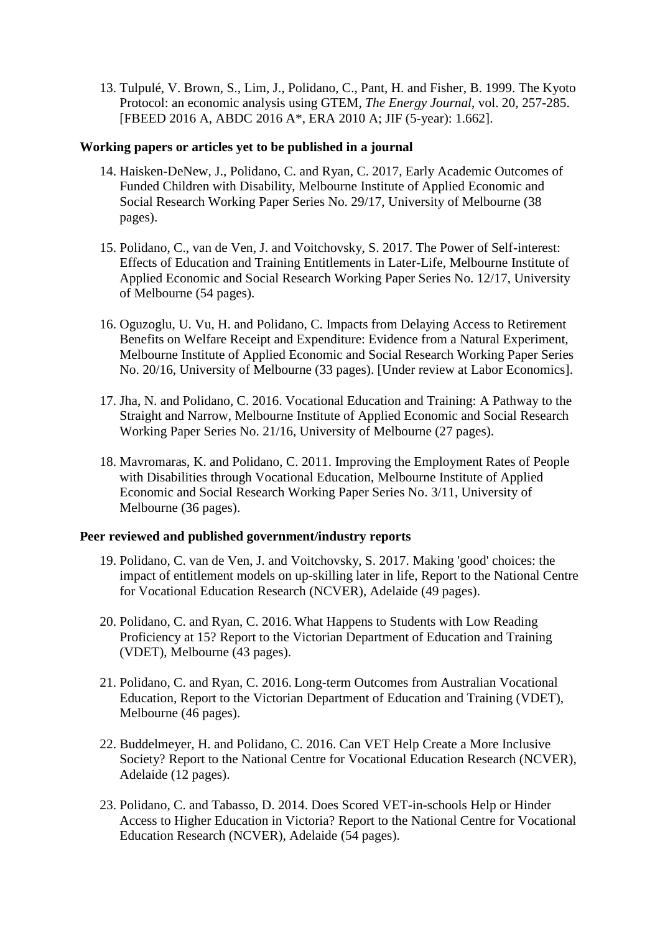13. Tulpulé, V. Brown, S., Lim, J., Polidano, C., Pant, H. and Fisher, B. 1999. [The Kyoto](https://scholar.google.com/citations?view_op=view_citation&hl=en&user=JFhA9acAAAAJ&citation_for_view=JFhA9acAAAAJ:u-x6o8ySG0sC)  [Protocol: an economic analysis using GTEM,](https://scholar.google.com/citations?view_op=view_citation&hl=en&user=JFhA9acAAAAJ&citation_for_view=JFhA9acAAAAJ:u-x6o8ySG0sC) *The Energy Journal*, vol. 20, 257-285. [FBEED 2016 A, ABDC 2016 A\*, ERA 2010 A; JIF (5-year): 1.662].

#### **Working papers or articles yet to be published in a journal**

- 14. Haisken-DeNew, J., Polidano, C. and Ryan, C. 2017, Early Academic Outcomes of Funded Children with Disability, Melbourne Institute of Applied Economic and Social Research Working Paper Series No. 29/17, University of Melbourne (38 pages).
- 15. Polidano, C., van de Ven, J. and Voitchovsky, S. 2017. The Power of Self-interest: Effects of Education and Training Entitlements in Later-Life, Melbourne Institute of Applied Economic and Social Research Working Paper Series No. 12/17, University of Melbourne (54 pages).
- 16. Oguzoglu, U. Vu, H. and Polidano, C. Impacts from Delaying Access to Retirement Benefits on Welfare Receipt and Expenditure: Evidence from a Natural Experiment, Melbourne Institute of Applied Economic and Social Research Working Paper Series No. 20/16, University of Melbourne (33 pages). [Under review at Labor Economics].
- 17. Jha, N. and Polidano, C. 2016. Vocational Education and Training: A Pathway to the Straight and Narrow, Melbourne Institute of Applied Economic and Social Research Working Paper Series No. 21/16, University of Melbourne (27 pages).
- 18. Mavromaras, K. and Polidano, C. 2011. [Improving the Employment Rates of People](http://melbourneinstitute.com/downloads/working_paper_series/wp2011n03.pdf)  [with Disabilities through Vocational Education,](http://melbourneinstitute.com/downloads/working_paper_series/wp2011n03.pdf) Melbourne Institute of Applied Economic and Social Research Working Paper Series No. 3/11, University of Melbourne (36 pages).

#### **Peer reviewed and published government/industry reports**

- 19. Polidano, C. van de Ven, J. and Voitchovsky, S. 2017. [Making 'good' choices: the](https://www.ncver.edu.au/publications/publications/all-publications/making-good-choices-the-impact-of-entitlement-models-on-up-skilling-later-in-life)  [impact of entitlement models on up-skilling later in life,](https://www.ncver.edu.au/publications/publications/all-publications/making-good-choices-the-impact-of-entitlement-models-on-up-skilling-later-in-life) Report to the National Centre for Vocational Education Research (NCVER), Adelaide (49 pages).
- 20. Polidano, C. and Ryan, C. 2016. What Happens to Students with Low Reading Proficiency at 15? Report to the Victorian Department of Education and Training (VDET), Melbourne (43 pages).
- 21. Polidano, C. and Ryan, C. 2016. Long-term Outcomes from Australian Vocational Education, Report to the Victorian Department of Education and Training (VDET), Melbourne (46 pages).
- 22. Buddelmeyer, H. and Polidano, C. 2016. Can VET Help Create a More Inclusive Society? Report to the National Centre for Vocational Education Research (NCVER), Adelaide (12 pages).
- 23. Polidano, C. and Tabasso, D. 2014. Does Scored VET-in-schools Help or Hinder Access to Higher Education in Victoria? Report to the National Centre for Vocational Education Research (NCVER), Adelaide (54 pages).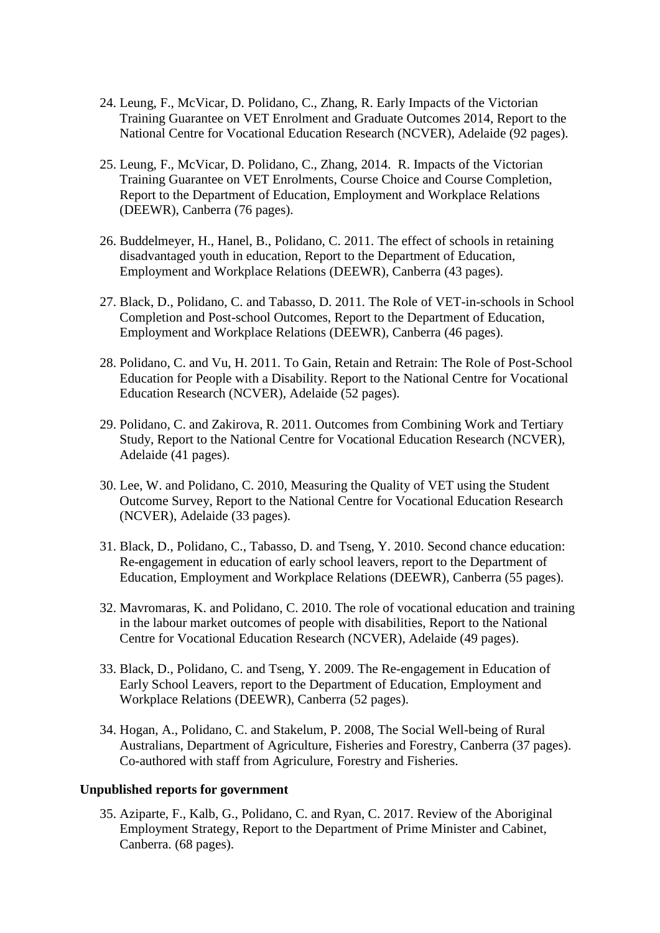- 24. Leung, F., McVicar, D. Polidano, C., Zhang, R. Early Impacts of the Victorian Training Guarantee on VET Enrolment and Graduate Outcomes 2014, Report to the National Centre for Vocational Education Research (NCVER), Adelaide (92 pages).
- 25. Leung, F., McVicar, D. Polidano, C., Zhang, 2014. R. Impacts of the Victorian Training Guarantee on VET Enrolments, Course Choice and Course Completion, Report to the Department of Education, Employment and Workplace Relations (DEEWR), Canberra (76 pages).
- 26. Buddelmeyer, H., Hanel, B., Polidano, C. 2011. [The effect of schools in retaining](https://scholar.google.com/citations?view_op=view_citation&hl=en&user=JFhA9acAAAAJ&cstart=20&citation_for_view=JFhA9acAAAAJ:0EnyYjriUFMC)  [disadvantaged youth in education,](https://scholar.google.com/citations?view_op=view_citation&hl=en&user=JFhA9acAAAAJ&cstart=20&citation_for_view=JFhA9acAAAAJ:0EnyYjriUFMC) Report to the Department of Education, Employment and Workplace Relations (DEEWR), Canberra (43 pages).
- 27. Black, D., Polidano, C. and Tabasso, D. 2011. The Role of VET-in-schools in School Completion and Post-school Outcomes, Report to the Department of Education, Employment and Workplace Relations (DEEWR), Canberra (46 pages).
- 28. Polidano, C. and Vu, H. 2011. [To Gain, Retain and Retrain: The Role of Post-School](https://scholar.google.com/citations?view_op=view_citation&hl=en&user=JFhA9acAAAAJ&citation_for_view=JFhA9acAAAAJ:zYLM7Y9cAGgC)  [Education for People with a Disability. Report to the National Centre for Vocational](https://scholar.google.com/citations?view_op=view_citation&hl=en&user=JFhA9acAAAAJ&citation_for_view=JFhA9acAAAAJ:zYLM7Y9cAGgC)  [Education Research \(NCVER\), Adelaide \(52 pages\).](https://scholar.google.com/citations?view_op=view_citation&hl=en&user=JFhA9acAAAAJ&citation_for_view=JFhA9acAAAAJ:zYLM7Y9cAGgC)
- 29. Polidano, C. and Zakirova, R. 2011. Outcomes from Combining Work and Tertiary Study, Report to the National Centre for Vocational Education Research (NCVER), Adelaide (41 pages).
- 30. Lee, W. and Polidano, C. 2010, Measuring the Quality of VET using the Student Outcome Survey, Report to the National Centre for Vocational Education Research (NCVER), Adelaide (33 pages).
- 31. Black, D., Polidano, C., Tabasso, D. and Tseng, Y. 2010. Second chance education: Re-engagement in education of early school leavers, report to the Department of Education, Employment and Workplace Relations (DEEWR), Canberra (55 pages).
- 32. Mavromaras, K. and Polidano, C. 2010. The role of vocational education and training in the labour market outcomes of people with disabilities, Report to the National Centre for Vocational Education Research (NCVER), Adelaide (49 pages).
- 33. Black, D., Polidano, C. and Tseng, Y. 2009. The Re-engagement in Education of Early School Leavers, report to the Department of Education, Employment and Workplace Relations (DEEWR), Canberra (52 pages).
- 34. Hogan, A., Polidano, C. and Stakelum, P. 2008, The Social Well-being of Rural Australians, Department of Agriculture, Fisheries and Forestry, Canberra (37 pages). Co-authored with staff from Agriculure, Forestry and Fisheries.

#### **Unpublished reports for government**

35. Aziparte, F., Kalb, G., Polidano, C. and Ryan, C. 2017. Review of the Aboriginal Employment Strategy, Report to the Department of Prime Minister and Cabinet, Canberra. (68 pages).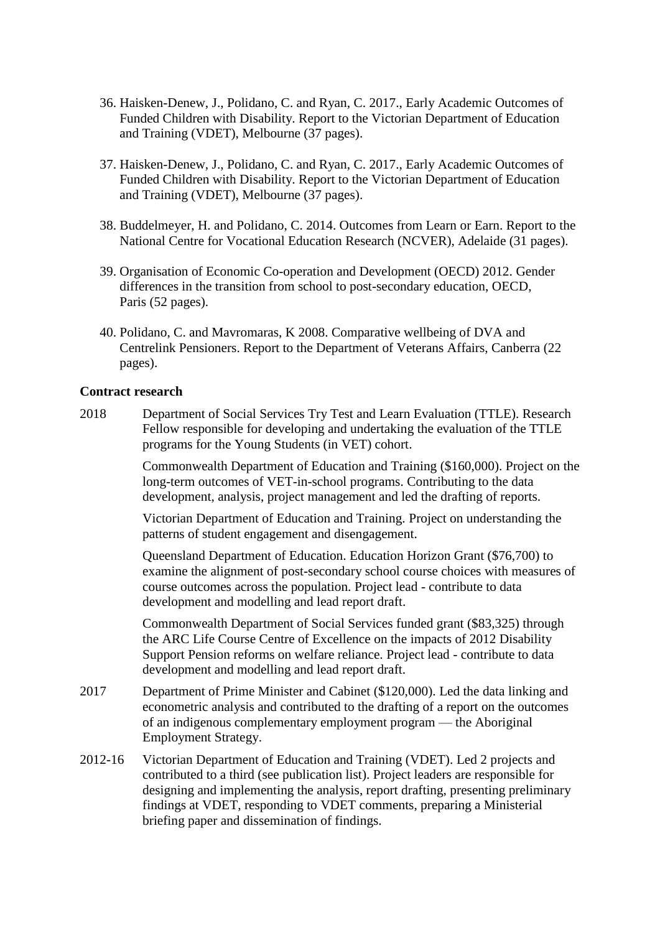- 36. Haisken-Denew, J., Polidano, C. and Ryan, C. 2017., Early Academic Outcomes of Funded Children with Disability. Report to the Victorian Department of Education and Training (VDET), Melbourne (37 pages).
- 37. Haisken-Denew, J., Polidano, C. and Ryan, C. 2017., Early Academic Outcomes of Funded Children with Disability. Report to the Victorian Department of Education and Training (VDET), Melbourne (37 pages).
- 38. Buddelmeyer, H. and Polidano, C. 2014. Outcomes from Learn or Earn. Report to the National Centre for Vocational Education Research (NCVER), Adelaide (31 pages).
- 39. Organisation of Economic Co-operation and Development (OECD) 2012. Gender differences in the transition from school to post-secondary education, OECD, Paris (52 pages).
- 40. Polidano, C. and Mavromaras, K 2008. Comparative wellbeing of DVA and Centrelink Pensioners. Report to the Department of Veterans Affairs, Canberra (22 pages).

#### **Contract research**

2018 Department of Social Services Try Test and Learn Evaluation (TTLE). Research Fellow responsible for developing and undertaking the evaluation of the TTLE programs for the Young Students (in VET) cohort.

> Commonwealth Department of Education and Training (\$160,000). Project on the long-term outcomes of VET-in-school programs. Contributing to the data development, analysis, project management and led the drafting of reports.

Victorian Department of Education and Training. Project on understanding the patterns of student engagement and disengagement.

Queensland Department of Education. Education Horizon Grant (\$76,700) to examine the alignment of post-secondary school course choices with measures of course outcomes across the population. Project lead - contribute to data development and modelling and lead report draft.

Commonwealth Department of Social Services funded grant (\$83,325) through the ARC Life Course Centre of Excellence on the impacts of 2012 Disability Support Pension reforms on welfare reliance. Project lead - contribute to data development and modelling and lead report draft.

- 2017 Department of Prime Minister and Cabinet (\$120,000). Led the data linking and econometric analysis and contributed to the drafting of a report on the outcomes of an indigenous complementary employment program — the Aboriginal Employment Strategy.
- 2012-16 Victorian Department of Education and Training (VDET). Led 2 projects and contributed to a third (see publication list). Project leaders are responsible for designing and implementing the analysis, report drafting, presenting preliminary findings at VDET, responding to VDET comments, preparing a Ministerial briefing paper and dissemination of findings.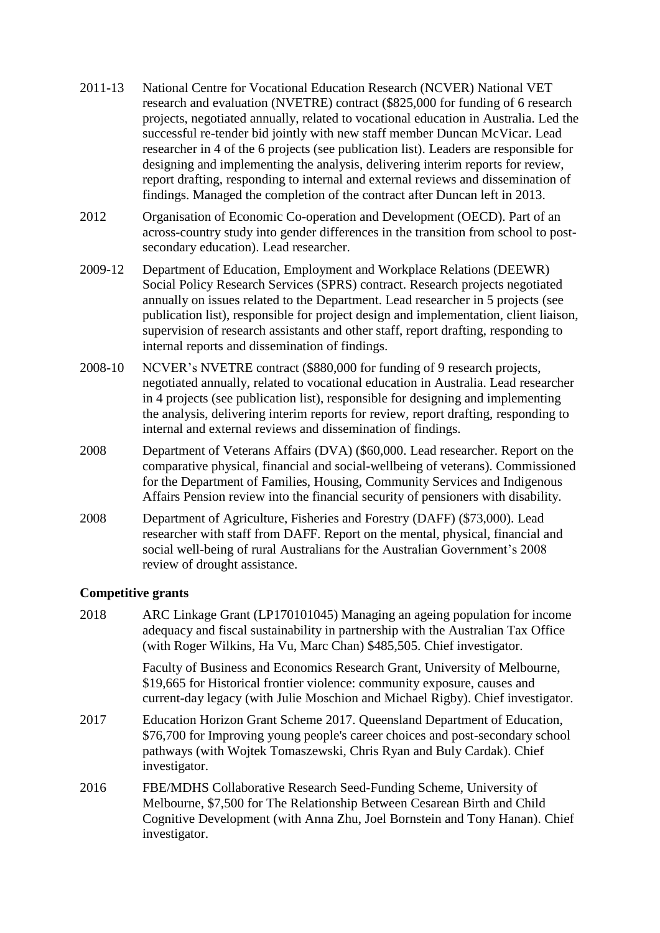- 2011-13 National Centre for Vocational Education Research (NCVER) National VET research and evaluation (NVETRE) contract (\$825,000 for funding of 6 research projects, negotiated annually, related to vocational education in Australia. Led the successful re-tender bid jointly with new staff member Duncan McVicar. Lead researcher in 4 of the 6 projects (see publication list). Leaders are responsible for designing and implementing the analysis, delivering interim reports for review, report drafting, responding to internal and external reviews and dissemination of findings. Managed the completion of the contract after Duncan left in 2013.
- 2012 Organisation of Economic Co-operation and Development (OECD). Part of an across-country study into gender differences in the transition from school to postsecondary education). Lead researcher.
- 2009-12 Department of Education, Employment and Workplace Relations (DEEWR) Social Policy Research Services (SPRS) contract. Research projects negotiated annually on issues related to the Department. Lead researcher in 5 projects (see publication list), responsible for project design and implementation, client liaison, supervision of research assistants and other staff, report drafting, responding to internal reports and dissemination of findings.
- 2008-10 NCVER's NVETRE contract (\$880,000 for funding of 9 research projects, negotiated annually, related to vocational education in Australia. Lead researcher in 4 projects (see publication list), responsible for designing and implementing the analysis, delivering interim reports for review, report drafting, responding to internal and external reviews and dissemination of findings.
- 2008 Department of Veterans Affairs (DVA) (\$60,000. Lead researcher. Report on the comparative physical, financial and social-wellbeing of veterans). Commissioned for the Department of Families, Housing, Community Services and Indigenous Affairs Pension review into the financial security of pensioners with disability.
- 2008 Department of Agriculture, Fisheries and Forestry (DAFF) (\$73,000). Lead researcher with staff from DAFF. Report on the mental, physical, financial and social well-being of rural Australians for the Australian Government's 2008 review of drought assistance.

## **Competitive grants**

| 2018 | ARC Linkage Grant (LP170101045) Managing an ageing population for income<br>adequacy and fiscal sustainability in partnership with the Australian Tax Office<br>(with Roger Wilkins, Ha Vu, Marc Chan) \$485,505. Chief investigator.                |
|------|------------------------------------------------------------------------------------------------------------------------------------------------------------------------------------------------------------------------------------------------------|
|      | Faculty of Business and Economics Research Grant, University of Melbourne,<br>\$19,665 for Historical frontier violence: community exposure, causes and<br>current-day legacy (with Julie Moschion and Michael Rigby). Chief investigator.           |
| 2017 | Education Horizon Grant Scheme 2017. Queensland Department of Education,<br>\$76,700 for Improving young people's career choices and post-secondary school<br>pathways (with Wojtek Tomaszewski, Chris Ryan and Buly Cardak). Chief<br>investigator. |
| 2016 | FBE/MDHS Collaborative Research Seed-Funding Scheme, University of<br>Melbourne, \$7,500 for The Relationship Between Cesarean Birth and Child<br>Cognitive Development (with Anna Zhu, Joel Bornstein and Tony Hanan). Chief<br>investigator.       |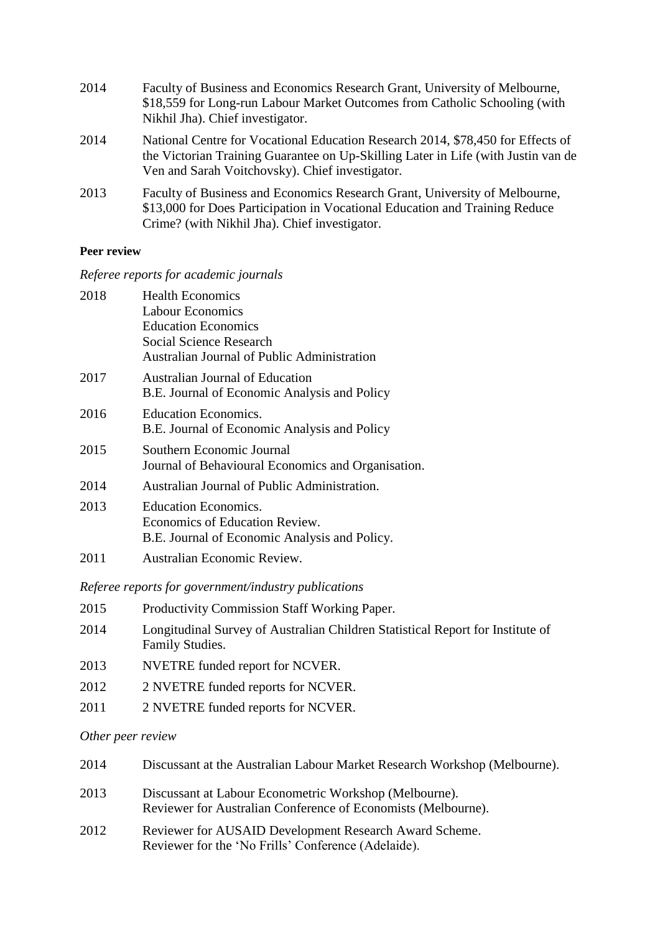| 2014 | Faculty of Business and Economics Research Grant, University of Melbourne,<br>\$18,559 for Long-run Labour Market Outcomes from Catholic Schooling (with<br>Nikhil Jha). Chief investigator.                            |
|------|-------------------------------------------------------------------------------------------------------------------------------------------------------------------------------------------------------------------------|
| 2014 | National Centre for Vocational Education Research 2014, \$78,450 for Effects of<br>the Victorian Training Guarantee on Up-Skilling Later in Life (with Justin van de<br>Ven and Sarah Voitchovsky). Chief investigator. |
| 2013 | Faculty of Business and Economics Research Grant, University of Melbourne,<br>\$13,000 for Does Participation in Vocational Education and Training Reduce<br>Crime? (with Nikhil Jha). Chief investigator.              |

#### **Peer review**

*Referee reports for academic journals*

| 2018 | <b>Health Economics</b><br><b>Labour Economics</b><br><b>Education Economics</b><br>Social Science Research    |
|------|----------------------------------------------------------------------------------------------------------------|
|      | <b>Australian Journal of Public Administration</b>                                                             |
| 2017 | Australian Journal of Education<br>B.E. Journal of Economic Analysis and Policy                                |
| 2016 | <b>Education Economics.</b><br>B.E. Journal of Economic Analysis and Policy                                    |
| 2015 | Southern Economic Journal<br>Journal of Behavioural Economics and Organisation.                                |
| 2014 | Australian Journal of Public Administration.                                                                   |
| 2013 | <b>Education Economics.</b><br>Economics of Education Review.<br>B.E. Journal of Economic Analysis and Policy. |
| 2011 | Australian Economic Review.                                                                                    |

*Referee reports for government/industry publications*

- 2015 Productivity Commission Staff Working Paper.
- 2014 Longitudinal Survey of Australian Children Statistical Report for Institute of Family Studies.
- 2013 NVETRE funded report for NCVER.
- 2012 2 NVETRE funded reports for NCVER.
- 2011 2 NVETRE funded reports for NCVER.

#### *Other peer review*

| 2014 | Discussant at the Australian Labour Market Research Workshop (Melbourne).                                               |
|------|-------------------------------------------------------------------------------------------------------------------------|
| 2013 | Discussant at Labour Econometric Workshop (Melbourne).<br>Reviewer for Australian Conference of Economists (Melbourne). |
| 2012 | Reviewer for AUSAID Development Research Award Scheme.<br>Reviewer for the 'No Frills' Conference (Adelaide).           |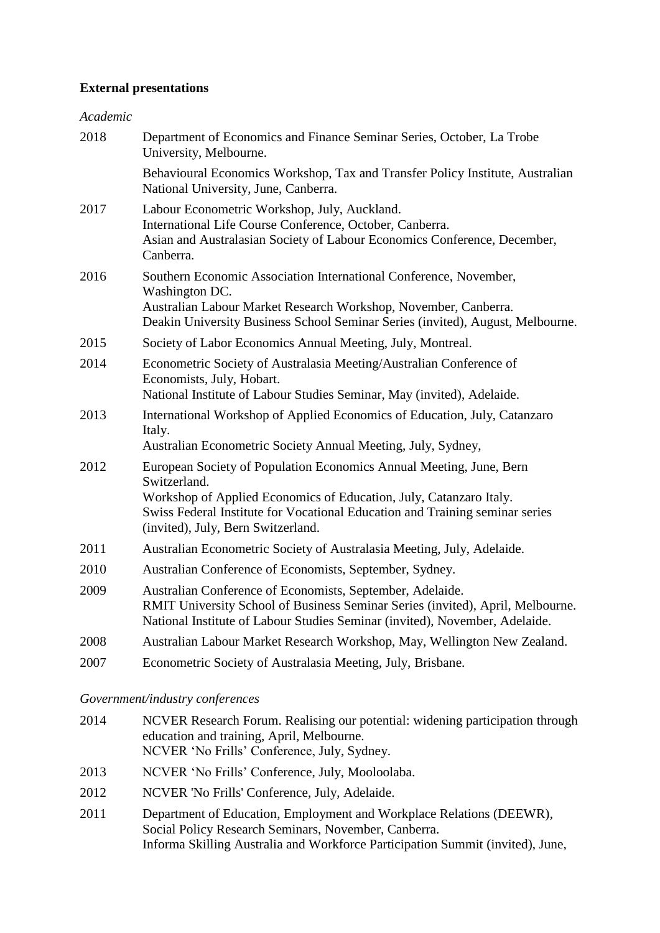#### **External presentations**

#### *Academic*

| 2018 | Department of Economics and Finance Seminar Series, October, La Trobe<br>University, Melbourne.                                                                                                                                                                                 |
|------|---------------------------------------------------------------------------------------------------------------------------------------------------------------------------------------------------------------------------------------------------------------------------------|
|      | Behavioural Economics Workshop, Tax and Transfer Policy Institute, Australian<br>National University, June, Canberra.                                                                                                                                                           |
| 2017 | Labour Econometric Workshop, July, Auckland.<br>International Life Course Conference, October, Canberra.<br>Asian and Australasian Society of Labour Economics Conference, December,<br>Canberra.                                                                               |
| 2016 | Southern Economic Association International Conference, November,<br>Washington DC.<br>Australian Labour Market Research Workshop, November, Canberra.<br>Deakin University Business School Seminar Series (invited), August, Melbourne.                                        |
| 2015 | Society of Labor Economics Annual Meeting, July, Montreal.                                                                                                                                                                                                                      |
| 2014 | Econometric Society of Australasia Meeting/Australian Conference of<br>Economists, July, Hobart.<br>National Institute of Labour Studies Seminar, May (invited), Adelaide.                                                                                                      |
| 2013 | International Workshop of Applied Economics of Education, July, Catanzaro<br>Italy.<br>Australian Econometric Society Annual Meeting, July, Sydney,                                                                                                                             |
| 2012 | European Society of Population Economics Annual Meeting, June, Bern<br>Switzerland.<br>Workshop of Applied Economics of Education, July, Catanzaro Italy.<br>Swiss Federal Institute for Vocational Education and Training seminar series<br>(invited), July, Bern Switzerland. |
| 2011 | Australian Econometric Society of Australasia Meeting, July, Adelaide.                                                                                                                                                                                                          |
| 2010 | Australian Conference of Economists, September, Sydney.                                                                                                                                                                                                                         |
| 2009 | Australian Conference of Economists, September, Adelaide.<br>RMIT University School of Business Seminar Series (invited), April, Melbourne.<br>National Institute of Labour Studies Seminar (invited), November, Adelaide.                                                      |
| 2008 | Australian Labour Market Research Workshop, May, Wellington New Zealand.                                                                                                                                                                                                        |
| 2007 | Econometric Society of Australasia Meeting, July, Brisbane.                                                                                                                                                                                                                     |
|      |                                                                                                                                                                                                                                                                                 |

#### *Government/industry conferences*

- 2014 NCVER Research Forum. Realising our potential: widening participation through education and training, April, Melbourne. NCVER 'No Frills' Conference, July, Sydney.
- 2013 NCVER 'No Frills' Conference, July, Mooloolaba.
- 2012 NCVER 'No Frills' Conference, July, Adelaide.
- 2011 Department of Education, Employment and Workplace Relations (DEEWR), Social Policy Research Seminars, November, Canberra. Informa Skilling Australia and Workforce Participation Summit (invited), June,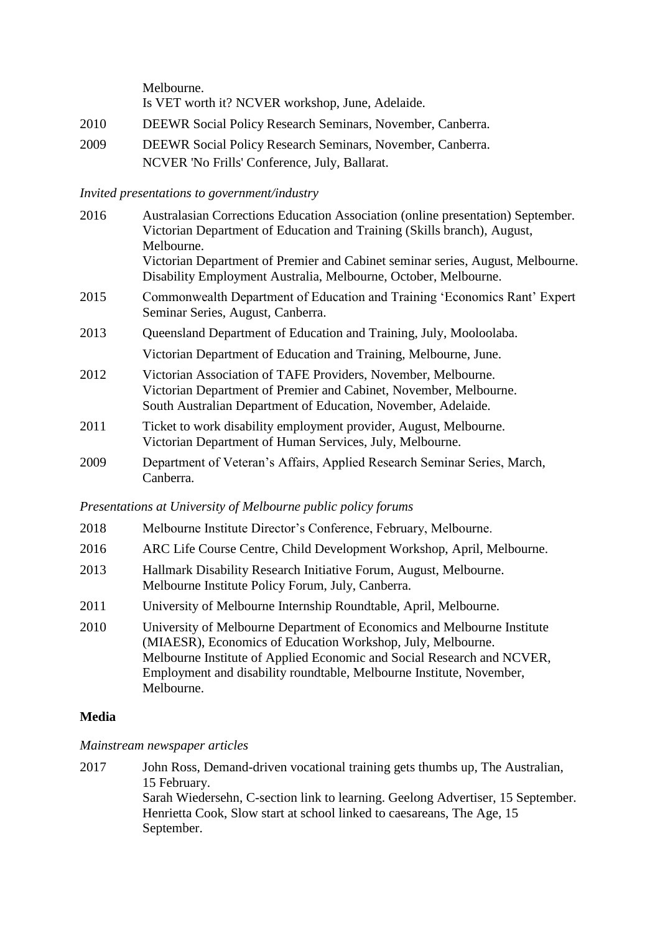Melbourne. Is VET worth it? NCVER workshop, June, Adelaide.

- 2010 DEEWR Social Policy Research Seminars, November, Canberra.
- 2009 DEEWR Social Policy Research Seminars, November, Canberra. NCVER 'No Frills' Conference, July, Ballarat.

#### *Invited presentations to government/industry*

| 2016 | Australasian Corrections Education Association (online presentation) September.<br>Victorian Department of Education and Training (Skills branch), August,<br>Melbourne.                            |
|------|-----------------------------------------------------------------------------------------------------------------------------------------------------------------------------------------------------|
|      | Victorian Department of Premier and Cabinet seminar series, August, Melbourne.<br>Disability Employment Australia, Melbourne, October, Melbourne.                                                   |
| 2015 | Commonwealth Department of Education and Training 'Economics Rant' Expert<br>Seminar Series, August, Canberra.                                                                                      |
| 2013 | Queensland Department of Education and Training, July, Mooloolaba.                                                                                                                                  |
|      | Victorian Department of Education and Training, Melbourne, June.                                                                                                                                    |
| 2012 | Victorian Association of TAFE Providers, November, Melbourne.<br>Victorian Department of Premier and Cabinet, November, Melbourne.<br>South Australian Department of Education, November, Adelaide. |
| 2011 | Ticket to work disability employment provider, August, Melbourne.<br>Victorian Department of Human Services, July, Melbourne.                                                                       |
| 2009 | Department of Veteran's Affairs, Applied Research Seminar Series, March,<br>Canberra.                                                                                                               |

#### *Presentations at University of Melbourne public policy forums*

- 2018 Melbourne Institute Director's Conference, February, Melbourne.
- 2016 ARC Life Course Centre, Child Development Workshop, April, Melbourne.
- 2013 Hallmark Disability Research Initiative Forum, August, Melbourne. Melbourne Institute Policy Forum, July, Canberra.
- 2011 University of Melbourne Internship Roundtable, April, Melbourne.
- 2010 University of Melbourne Department of Economics and Melbourne Institute (MIAESR), Economics of Education Workshop, July, Melbourne. Melbourne Institute of Applied Economic and Social Research and NCVER, Employment and disability roundtable, Melbourne Institute, November, Melbourne.

## **Media**

#### *Mainstream newspaper articles*

2017 John Ross, Demand-driven vocational training gets thumbs up, The Australian, 15 February. Sarah Wiedersehn, C-section link to learning. Geelong Advertiser, 15 September. Henrietta Cook, Slow start at school linked to caesareans, The Age, 15 September.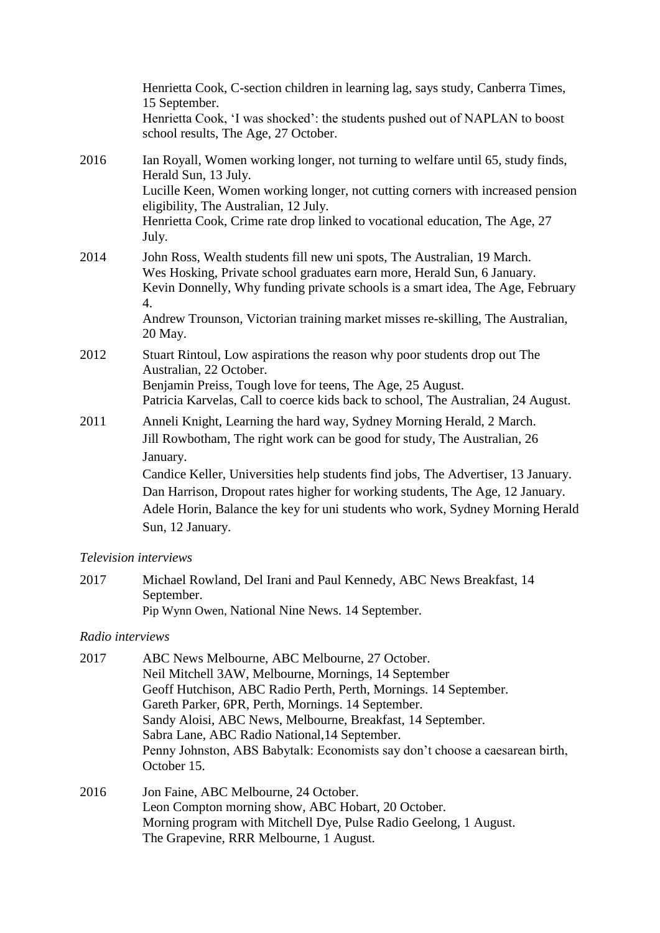|      | Henrietta Cook, C-section children in learning lag, says study, Canberra Times,<br>15 September.<br>Henrietta Cook, 'I was shocked': the students pushed out of NAPLAN to boost<br>school results, The Age, 27 October.                                                                                                                                                                                                                  |
|------|------------------------------------------------------------------------------------------------------------------------------------------------------------------------------------------------------------------------------------------------------------------------------------------------------------------------------------------------------------------------------------------------------------------------------------------|
| 2016 | Ian Royall, Women working longer, not turning to welfare until 65, study finds,<br>Herald Sun, 13 July.<br>Lucille Keen, Women working longer, not cutting corners with increased pension<br>eligibility, The Australian, 12 July.<br>Henrietta Cook, Crime rate drop linked to vocational education, The Age, 27<br>July.                                                                                                               |
| 2014 | John Ross, Wealth students fill new uni spots, The Australian, 19 March.<br>Wes Hosking, Private school graduates earn more, Herald Sun, 6 January.<br>Kevin Donnelly, Why funding private schools is a smart idea, The Age, February<br>$\overline{4}$ .<br>Andrew Trounson, Victorian training market misses re-skilling, The Australian,<br>20 May.                                                                                   |
| 2012 | Stuart Rintoul, Low aspirations the reason why poor students drop out The<br>Australian, 22 October.<br>Benjamin Preiss, Tough love for teens, The Age, 25 August.<br>Patricia Karvelas, Call to coerce kids back to school, The Australian, 24 August.                                                                                                                                                                                  |
| 2011 | Anneli Knight, Learning the hard way, Sydney Morning Herald, 2 March.<br>Jill Rowbotham, The right work can be good for study, The Australian, 26<br>January.<br>Candice Keller, Universities help students find jobs, The Advertiser, 13 January.<br>Dan Harrison, Dropout rates higher for working students, The Age, 12 January.<br>Adele Horin, Balance the key for uni students who work, Sydney Morning Herald<br>Sun, 12 January. |

#### *Television interviews*

2017 Michael Rowland, Del Irani and Paul Kennedy, ABC News Breakfast, 14 September. Pip Wynn Owen, National Nine News. 14 September.

## *Radio interviews*

| 2017 | ABC News Melbourne, ABC Melbourne, 27 October.                               |
|------|------------------------------------------------------------------------------|
|      | Neil Mitchell 3AW, Melbourne, Mornings, 14 September                         |
|      | Geoff Hutchison, ABC Radio Perth, Perth, Mornings. 14 September.             |
|      | Gareth Parker, 6PR, Perth, Mornings. 14 September.                           |
|      | Sandy Aloisi, ABC News, Melbourne, Breakfast, 14 September.                  |
|      | Sabra Lane, ABC Radio National, 14 September.                                |
|      | Penny Johnston, ABS Babytalk: Economists say don't choose a caesarean birth, |
|      | October 15.                                                                  |
| 2016 | Jon Faine, ABC Melbourne, 24 October.                                        |
|      | Leon Compton morning show, ABC Hobart, 20 October.                           |
|      |                                                                              |

Morning program with Mitchell Dye, Pulse Radio Geelong, 1 August.

[The Grapevine,](http://www.rrr.org.au/program/the-grapevine/) RRR Melbourne, 1 August.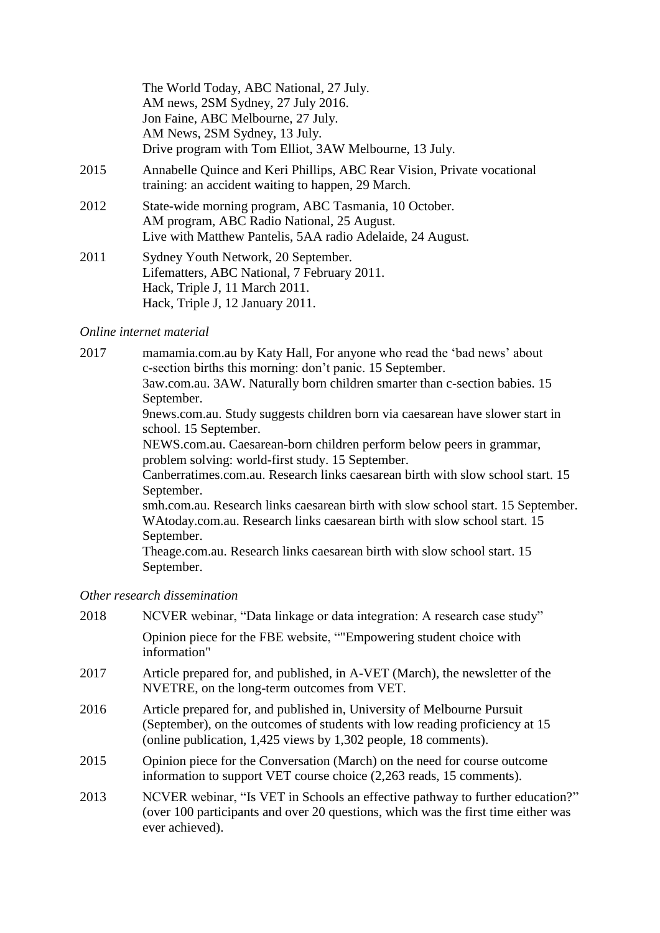|      | The World Today, ABC National, 27 July.                                                                                                                           |
|------|-------------------------------------------------------------------------------------------------------------------------------------------------------------------|
|      | AM news, 2SM Sydney, 27 July 2016.                                                                                                                                |
|      | Jon Faine, ABC Melbourne, 27 July.                                                                                                                                |
|      | AM News, 2SM Sydney, 13 July.                                                                                                                                     |
|      | Drive program with Tom Elliot, 3AW Melbourne, 13 July.                                                                                                            |
| 2015 | Annabelle Quince and Keri Phillips, ABC Rear Vision, Private vocational<br>training: an accident waiting to happen, 29 March.                                     |
| 2012 | State-wide morning program, ABC Tasmania, 10 October.<br>AM program, ABC Radio National, 25 August.<br>Live with Matthew Pantelis, 5AA radio Adelaide, 24 August. |
| 2011 | Sydney Youth Network, 20 September.<br>Lifematters, ABC National, 7 February 2011.<br>Hack, Triple J, 11 March 2011.<br>Hack, Triple J, 12 January 2011.          |

#### *Online internet material*

ever achieved).

2017 mamamia.com.au by Katy Hall, For anyone who read the 'bad news' about c-section births this morning: don't panic. 15 September. 3aw.com.au. 3AW. Naturally born children smarter than c-section babies. 15 September. 9news.com.au. Study suggests children born via caesarean have slower start in school. 15 September. NEWS.com.au. Caesarean-born children perform below peers in grammar, problem solving: world-first study. 15 September. Canberratimes.com.au. Research links caesarean birth with slow school start. 15 September. smh.com.au. Research links caesarean birth with slow school start. 15 September. WAtoday.com.au. Research links caesarean birth with slow school start. 15 September. Theage.com.au. Research links caesarean birth with slow school start. 15 September. *Other research dissemination*

2018 NCVER webinar, "Data linkage or data integration: A research case study" Opinion piece for the FBE website, ""Empowering student choice with information" 2017 Article prepared for, and published, in A-VET (March), the newsletter of the NVETRE, on the long-term outcomes from VET. 2016 Article prepared for, and published in, University of Melbourne Pursuit (September), on the outcomes of students with low reading proficiency at 15 (online publication, 1,425 views by 1,302 people, 18 comments). 2015 Opinion piece for the Conversation (March) on the need for course outcome information to support VET course choice (2,263 reads, 15 comments). 2013 NCVER webinar, ["Is VET in Schools an effective pathway to further education?"](http://www.voced.edu.au/content/ngv:59591) (over 100 participants and over 20 questions, which was the first time either was